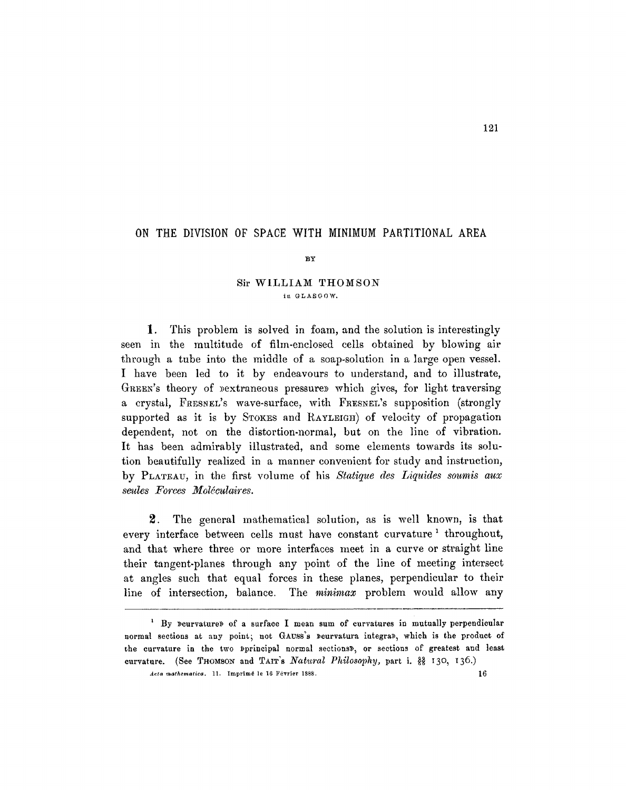# ON THE DIVISION OF SPACE WITH MINIMUM PARTITIONAL AREA

BY

## Sir WILLIAM THOMSON in GLASGOW.

1. This problem is solved in foam, and the solution is interestingly seen in the multitude of fihn-enclosed cells obtained by blowing air through a tube into the middle of a soap-solution in a large open vessel. I have been led to it by endeavours to understand, and to illustrate, GREEN's theory of *pextraneous* pressures which gives, for light traversing a crystal, FRESNEL's wave-surface, with FRESNEL's supposition (strongly supported as it is by STOKES and RAYLEIGH of velocity of propagation dependent, not on the distortion-normal, but on the line of vibration. It has been admirably illustrated, and some elements towards its solution beautifully realized in a manner convenient for study and instruction, by PLATEAU, in the first volume of his *Statique des Liquides soumis aux*   $seules$  *Forces Moléculaires.* 

2. The general mathematical solution, as is well known, is that every interface between cells must have constant curvature<sup>1</sup> throughout, and that where three or more interfaces meet in a curve or straight line their tangent-planes through any point of the line of meeting intersect at angles such that equal forces in these planes, perpendicular to their line of intersection, balance. The *minimax* problem would allow any

 $<sup>1</sup>$  By peurvature) of a surface I mean sum of curvatures in mutually perpendicular</sup> normal sections at any point; not GAUSS's peurvatura integrap, which is the product of the curvature in the two »principal normal sections», or sections of greatest and least curvature. (See THOMSON and TAIT's *Natural Philosophy*, part i.  $\frac{38}{21}$  130, 136.)

*Acta mathematica,* 11. Imprimé le 16 Février 1888. 16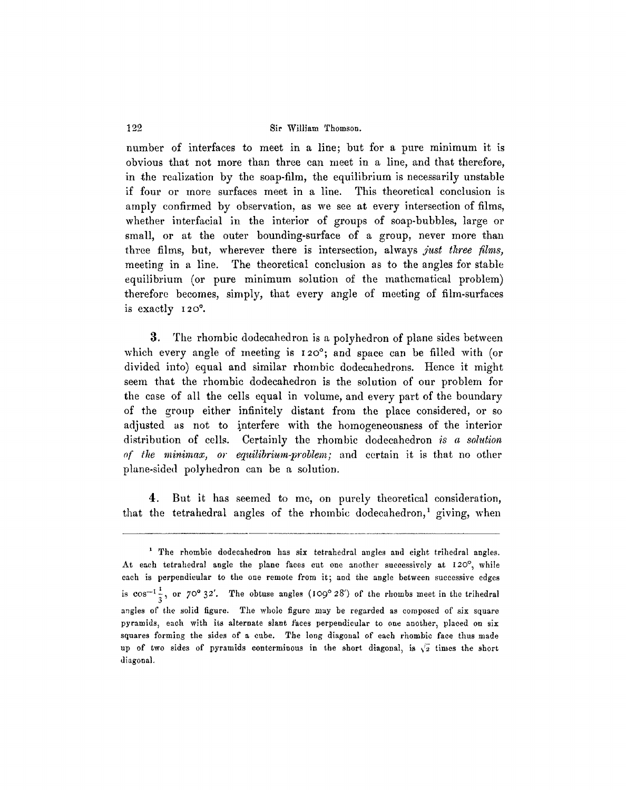number of interfaces to meet in a line; but for a pure minimum it is obvious that not more than three can meet in a line, and that therefore, in the realization by the soap-film, the equilibrium is necessarily unstable if four or more surfaces meet in a line. This theoretical conclusion is amply confirmed by observation, as we see at every intersection of films, whether interfacial in the interior of groups of soap-bubbles, large or small, or at the outer bounding-surface of a group, never more than three films, but, wherever there is intersection, always *just three films*, meeting in a line. The theoretical conclusion as to the angles for stable equilibrium (or pure minimum solution of the mathematical problem) therefore becomes, simply, that every angle of meeting of fihn-surfaces is exactly 120°.

3. The rhombic dodecahedron is a polyhedron of plane sides between which every angle of meeting is 12o°; and space can be filled with (or divided into) equal and similar rhombic dodecahedrons. Hence it might seem that the rhombic dodecahedron is the solution of our problem for the case of all the cells equal in volume, and every part of the boundary of the group either infinitely distant from the place considered, or so adjusted as not to interfere with the homogeneousness of the interior distribution of cells. Certainly the rhombic dodecahedron *is a sohdion of the minimax, or equilibrium-problem;* and certain it is that no other plane-sided polyhedron can be a solution.

4. But it has seemed to me, on purely theoretical consideration, that the tetrahedral angles of the rhombic dodecahedron,<sup>1</sup> giving, when

<sup>&</sup>lt;sup>1</sup> The rhombic dodecahedron has six tetrahedral angles and eight trihedral angles. At each tetrahedral angle the plane faces cut one another successively at I20°, while each is perpendicular to the one remote from it; and the angle between successive edges is  $\cos^{-1}\frac{1}{3}$ , or 70° 32'. The obtuse angles (109° 28') of the rhombs meet in the trihedral angles of the solid figure. The whole figure may be regarded as composed of six square pyramids, each with its alternate slant faces perpendicular to one another, placed on six squares forming the sides of a cube. The long diagonal of each rhombio face thus made up of two sides of pyramids conterminous in the short diagonal, is  $\sqrt{2}$  times the short diagonal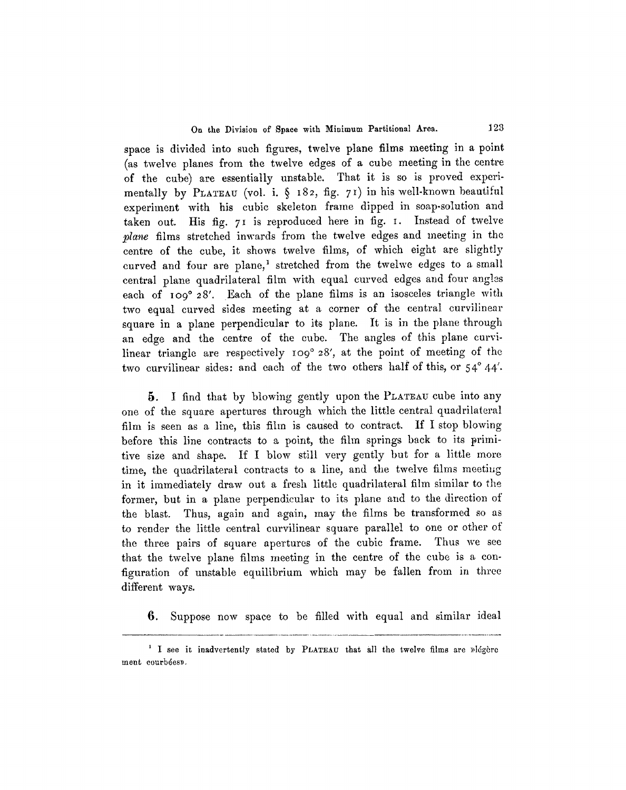space is divided into such figures, twelve plane films meeting in a point (as twelve planes from the twelve edges of a cube meeting in the centre of the cube) are essentially unstable. That it is so is proved experimentally by PLATEAU (vol. i. § 182, fig. 71) in his well-known beautiful experiment with his cubic skeleton frame dipped in soap-solution and taken out. His fig. 71 is reproduced here in fig. I. Instead of twelve *2lane* films stretched inwards from the twelve edges and meeting in the centre of the cube, it shows twelve fihns, of which eight are slightly curved and four are plane,<sup>1</sup> stretched from the twelwe edges to a small central plane quadrilateral film with equal curved edges and four ang!es each of 109° 28'. Each of the plane films is an isosceles triangle with two equal curved sides meeting at a corner of the central curvilinear square in a plane perpendicular to its plane. It is in the plane through an edge and the centre of the cube. The angles of this plane curvilinear triangle are respectively  $100^{\circ}$  28', at the point of meeting of the two curvilinear sides: and each of the two others half of this, or  $54^{\circ}$  44'.

5. I find that by blowing gently upon the PLATEAU cube into any one of the square apertures through which the little central quadrilateral film is seen as a line, this film is caused to contract. If I stop blowing before this line contracts to a point, the film springs back to its primitive size and shape. If I blow still very gently but for a little more time, the quadrilateral contracts to a line, and the twelve fihns meeting in it immediately draw out a fresh little quadrilateral film similar to the former, but in a plane perpendicular to its plane and to the direction of the blast. Thus, again and again, may the films be transformed so as to render the little central eurvilinear square parallel to one or other of the three pairs of square apertures of the cubic frame. Thus we see that the twelve plane films meeting in the centre of the cube is a configuration of unstable equilibrium which may be fallen from in three different ways.

6. Suppose now space to be filled with equal and similar ideal

<sup>&</sup>lt;sup>1</sup> I see it inadvertently stated by PLATEAU that all the twelve films are plegere ment courbées».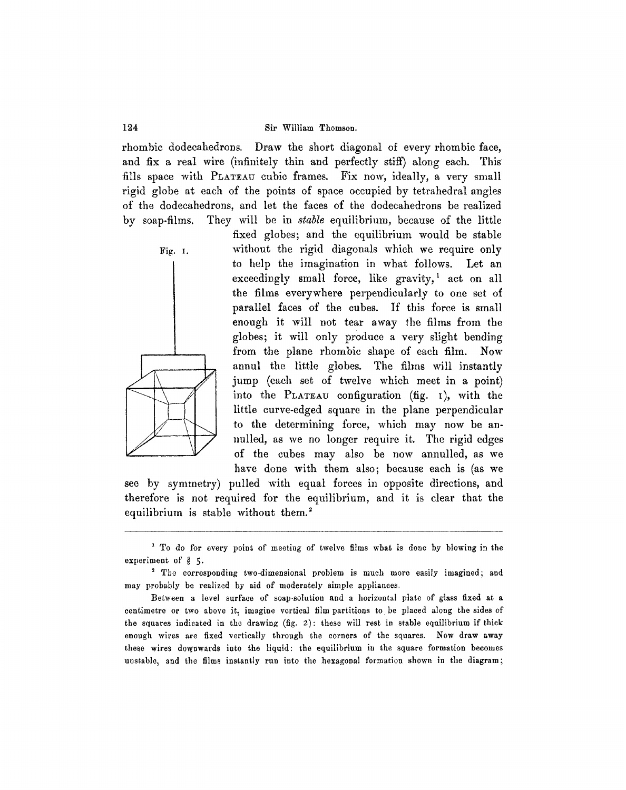rhombic dodecahedrons. Draw the short diagonal of every rhombic face, and fix a real wire (infinitely thin and perfectly stiff) along each. This fills space with PLATEAU cubic frames. Fix now, ideally, a very small rigid globe at each of the points of space occupied by tetrahedral angles of the dodecahedrons, and let the faces of the dodecahedrons be realized by soap-films. They will be in *stable* equilibrium, because of the little



fixed globes; and the equilibrium would be stable Fig. I. without the rigid diagonals which we require only to help the imagination in what follows. Let an exceedingly small force, like gravity,<sup>1</sup> act on all the fihns everywhere perpendicularly to one set of parallel faces of the cubes. If this force is small enough it will not tear away the films from the globes; it will only produce a very slight bending from the plane rhombic shape of each fihn. Now annul the little globes. The fihns will instantly jump (each set of twelve which meet in a point) into the PLATEAU configuration (fig.  $\iota$ ), with the little curve-edged square in the plane perpendicular to the determining force, which may now be annulled, as we no longer require it. The rigid edges of the cubes may also be now annulled, as we have done with them also; because each is (as we

see by symmetry) pulled with equal forces in opposite directions, and therefore is not required for the equilibrium, and it is clear that the equilibrium is stable without them.<sup>2</sup>

<sup>&</sup>lt;sup>1</sup> To do for every point of meeting of twelve films what is done by blowing in the experiment of  $%$  5.

<sup>2</sup> The corresponding two-dimensional problem is much more easily imagined; and may probably be realized by aid of moderately simple appliances.

Between a level surface of soap-solution and a horizontal plate of glass fixed at a centimetre or two above it, imagine vertical film partitions to be placed along the sides of the squares indicated in the drawing (fig. 2): these will rest in stable equilibrium if thick enough wires are fixed vertically through the corners of the squares. Now draw away these wires downwards into the liquid: the equilibrium in the square formation becomes unstable, and the films instantly run into the hexagonal formation shown in the diagram;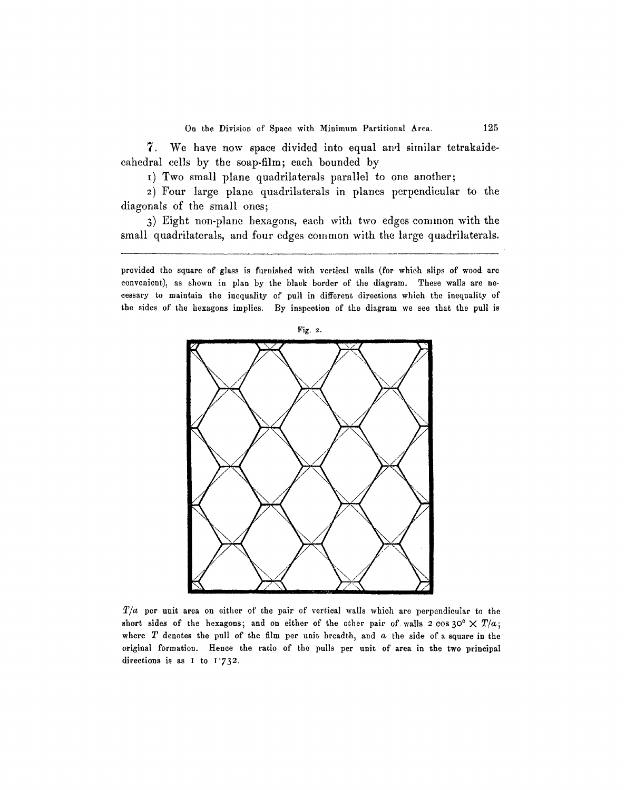7. We have now space divided into equal and similar tetrakaidecahedral cells by the soap-film; each bounded by

I) Two small plane quadrilaterals parallel to one another;

2) Four large plane quadrilaterals in planes perpendicular to the diagonals of the small ones;

3) Eight non-plane hexagons, each with two edges common with the small quadrilaterals, and four edges common with the large quadrilaterals.

provided the square of glass is furnished with vertical walls (for which slips of wood are convenient), as shown in plan by the black border of the diagram. These walls are necessary to maintain the inequality of' pull in different directions which the inequality of the sides of the hexagons implies. By inspection of the diagram we see that the pull is



*T/a* per unit area on either of the pair of vertical walls which are perpendicular to the short sides of the hexagons; and on either of the other pair of walls  $2 \cos 30^\circ \times T/a$ ; where  $T$  denotes the pull of the film per unit breadth, and  $a$  the side of a square in the original formation. Henoe the ratio of the pulls per unit of area in the two principal directions is as I to  $1.732$ .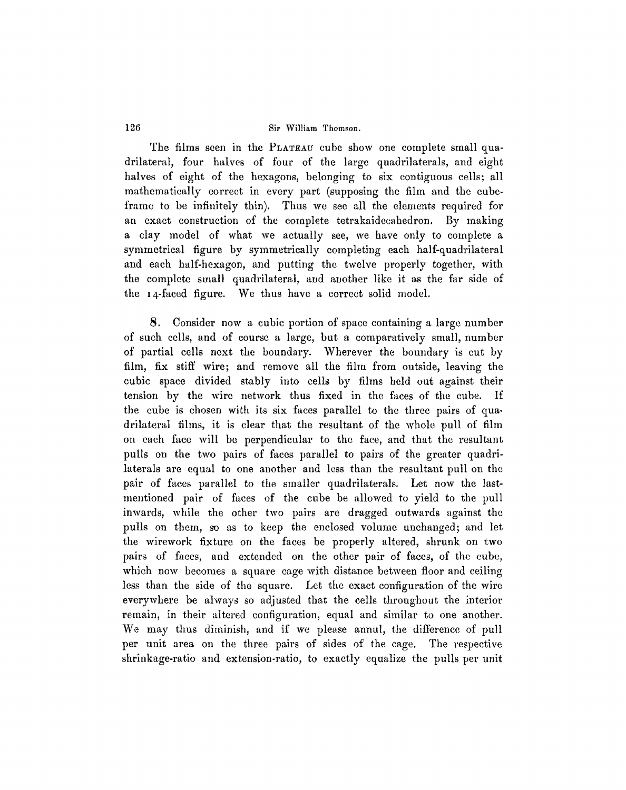The films seen in the PLATEAU cube show one complete small quadrilateral, four halves of four of the large quadrilaterals, and eight halves of eight of the hexagons, belonging to six contiguous cells; all mathematically correct in every part (supposing the film and the cubeframe to be infinitely thin). Thus we see all the elements required for an exact construction of the complete tetrakaidecahedron. By making a clay model of what we actually see, we have only to complete a symmetrical figure by symmetrically completing each half-quadrilateral and each half-hexagon, and putting the twelve properly together, with the complete small quadrilateral, and another like it as the far side of the I4-faced figure. We thus have a correct solid model.

8. Consider now a cubic portion of space containing a large number of such cells, and of course a large, but a comparatively small, number of partial cells next the boundary. Wherever the boundary is cut by film, fix stiff wire; and remove all the film from outside, leaving the cubic space divided stably into cells by fihns held out against their tension by the wire network thus fixed in the faces of the cube. If the cube is chosen with its six faces parallel to the three pairs of quadrilateral films, it is clear that the resultant of the whole pull of film on each face will be perpendicular to the face, and that the resultant pulls on the two pairs of faces parallel to pairs of the greater quadrilaterals are equal to one another and less than the resultant pull on the pair of faces parallel to the smaller quadrilaterals. Let now the lastmentioned pair of faces of the cube be allowed to yield to the pull inwards, while the other two pairs are dragged outwards against the pulls on them, so as to keep the enclosed volume unchanged; and let the wirework fixture on the faces be properly altered, shrunk on two pairs of faces, and extended on the other pair of faces, of the cube, which now becomes a square cage with distance between floor and ceiling less than the side of the square. Let the exact configuration of the wire everywhere be always so adjusted that the cells throughout the interior remain, in their altered configuration, equal and similar to one another. We may thus diminish, and if we please annul, the difference of pull per unit area on the three pairs of sides of the cage. The respective shrinkage-ratio and extension-ratio, to exactly equalize the pulls per unit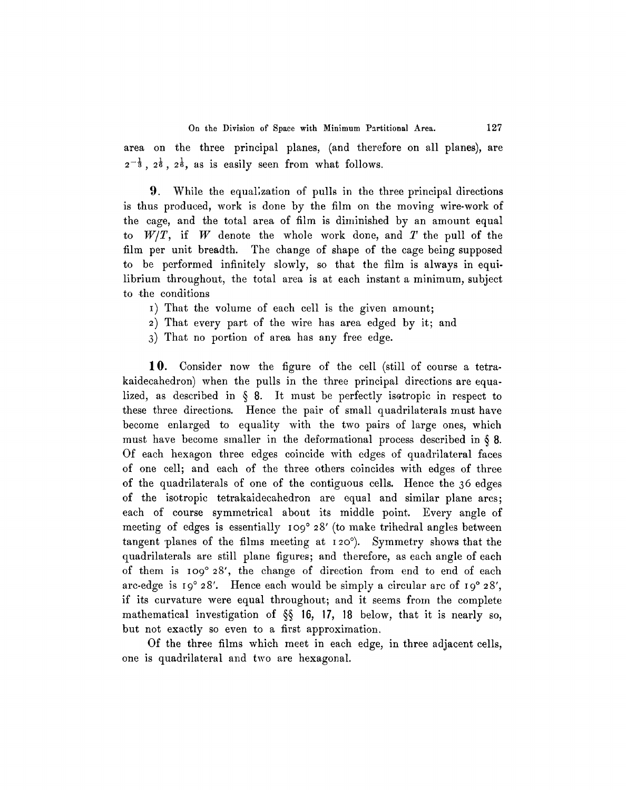area on the three principal planes, (and therefore on all planes), are  $2^{-\frac{1}{3}}$ ,  $2^{\frac{1}{6}}$ ,  $2^{\frac{1}{6}}$ , as is easily seen from what follows.

**9**. While the equalization of pulls in the three principal directions is thus produced, work is done by the film on the moving wire-work of the cage, and the total area of film is diminished by an amount equal to  $W/T$ , if W denote the whole work done, and T the pull of the film per unit breadth. The change of shape of the cage being supposed to be performed infinitely slowly, so that the film is always in equilibrium throughout, the total area is at each instant a minimum, subject to the conditions

I) That the volume of each cell is the given amount;

2) That every part of the wire has area edged by it; and

3) That no portion of area has any free edge.

10. Consider now the figure of the cell (still of course a tetrakaidecahedron) when the pulls in the three principal directions are equalized, as described in § 8. It must be perfectly isotropic in respect to these three directions. Hence the pair of small quadrilaterals must have become enlarged to equality with the two pairs of large ones, which must have become smaller in the deformational process described in § 8. Of each hexagon three edges coincide with edges of quadrilateral faces of one cell; and each of the three others coincides with edges of three of the quadrilaterals of one of the contiguous cells. Hence the 36 edges of the isotropic tetrakaidecahedron are equal and similar plane arcs; each of course symmetrical about its middle point. Every angle of meeting of edges is essentially 109° 28' (to make trihedral angles between tangent planes of the films meeting at 12o°). Symmetry shows that the quadrilaterals are still plane figures; and therefore, as each angle of each of them is  $10<sup>o</sup> 28'$ , the change of direction from end to end of each arc-edge is  $19^{\circ}$  28'. Hence each would be simply a circular arc of  $19^{\circ}$  28', if its curvature were equal throughout; and it seems from the complete mathematical investigation of §§ 16, 17, 18 below, that it is nearly so, but not exactly so even to a first approximation.

Of the three films which meet in each edge, in three adjacent cells, one is quadrilateral and two are hexagonal.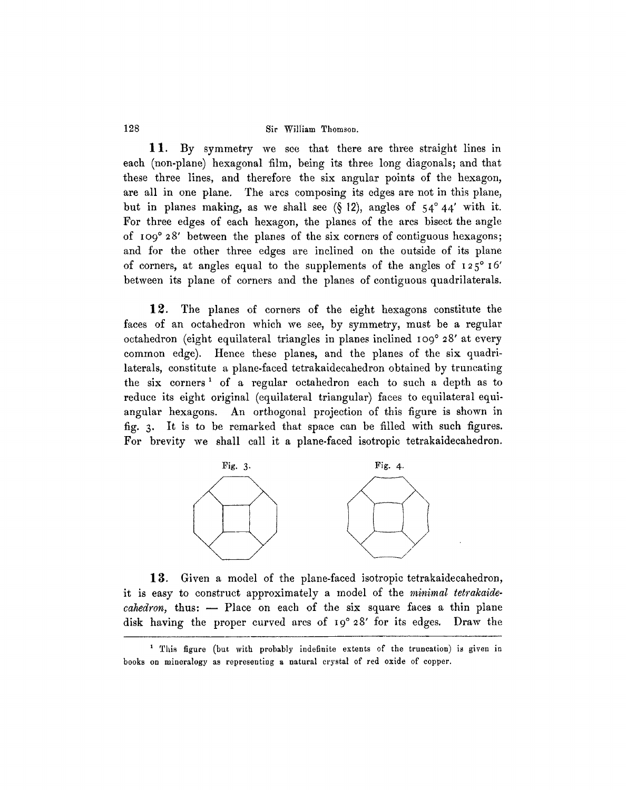11. By symmetry we see that there are three straight lines in each (non-plane) hexagonal film, being its three long diagonals; and that these three lines, and therefore the six angular points of the hexagon, are all in one plane. The arcs composing its edges are not in this plane, but in planes making, as we shall see  $(812)$ , angles of  $54^{\circ}44'$  with it. For three edges of each hexagon, the planes of the arcs bisect the angle of IO9 ° 28' between the planes of the six corners of contiguous hexagons; and for the other three edges are inclined on the outside of its plane of corners, at angles equal to the supplements of the angles of  $125^\circ 16'$ between its plane of corners and the planes of contiguous quadrilaterals.

12. The planes of corners of the eight hexagons constitute the faces of an octahedron which we see, by symmetry, must be a regular octahedron (eight equilateral triangles in planes inclined IO9 ° 28' at every common edge). Hence these planes, and the planes of the six quadrilaterals, constitute a plane-faced tetrakaidecahedron obtained by truncating the six corners 1 of a regular octahedron each to such a depth as to reduce its eight original (equilateral triangular) faces to equilateral equiangular hexagons. An orthogonal projection of this figure is shown in fig. 3. It is to be remarked that space can be filled with such figures. For brevity we shall call it a plane-faced isotropic tetrakaidecahedron.



13. Given a model of the plane-faced isotropic tetrakaidecahedron, it is easy to construct approximately a model of the *minimal tetrakaidecahedron*, thus: -- Place on each of the six square faces a thin plane disk having the proper curved arcs of I9 ° 28' for its edges. Draw the

<sup>&</sup>lt;sup>1</sup> This figure (but with probably indefinite extents of the truncation) is given in books on mineralogy as representing a natural crystal of red oxide of copper.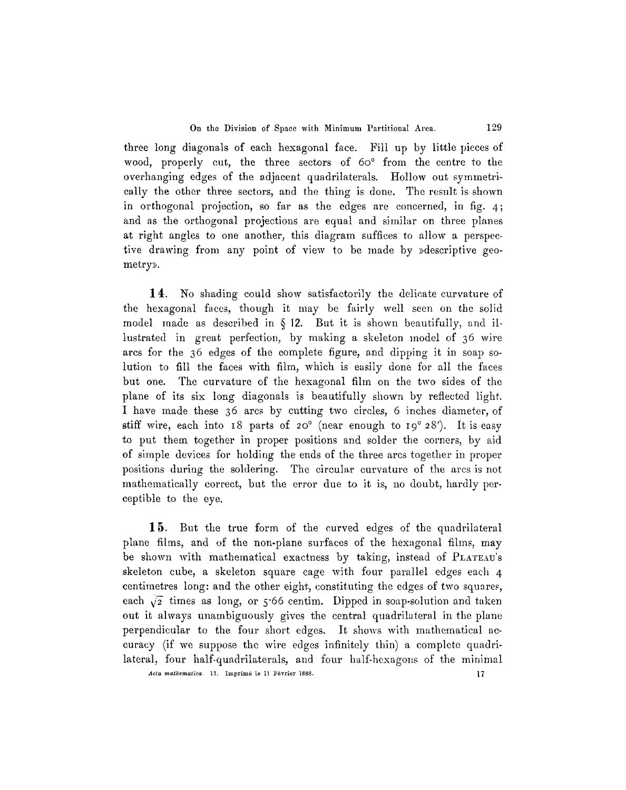three long diagonals of each hexagonal face. Fill up by little pieces of wood, properly cut, the three sectors of  $60^{\circ}$  from the centre to the overhanging edges of the adjacent quadrilaterals. Hollow out symmetrically the other three sectors, and the thing is done. The result is shown in orthogonal projection, so far as the edges are concerned, in fig. 4; and as the orthogonal projections are equal and similar on three planes at right angles to one another, this diagram suffices to allow a perspective drawing from any point of view to be made by »descriptive geometry».

14. No shading could show satisfactorily the delicate curvature of the hexagonal faces, though it may be fairly well seen on the solid model made as described in  $\S$  12. But it is shown beautifully, and illustrated in great perfection, by making a skeleton model of 36 wire ares for the 36 edges of the complete figure, and dipping it in soap solution to fill the faces with fitm, which is easily done for all the faces but one. The curvature of the hexagonal fihn on the two sides of the plane of its six long diagonals is beautifully shown by reflected light I have made these 36 ares by cutting two circles, 6 inches diameter, of stiff wire, each into 18 parts of 20 $\degree$  (near enough to 19 $\degree$  28'). It is easy to put them together in proper positions and solder the corners, by aid of simple devices for holding the ends of the three arcs together in proper positions during the soldering. The circular curvature of the arcs is not mathematically correct, but the error due to it is, no doubt, hardly pereeptible to the eye.

15. But the true form of the curved edges of the quadrilateral plane fihns, and of the non-plane surfaces of the hexagonal fihns, may be shown with mathematical exactness by taking, instead of PLATEAU's skeleton cube, a skeleton square cage with four parallel edges each 4 centimetres long: and the other eight, constituting the edges of two squares, each  $\sqrt{2}$  times as long, or 5.66 centim. Dipped in soap-solution and taken out it always unambiguously gives the central quadrilateral in the plane perpendicular to the four short edges. It shows with mathematical accuracy (if we suppose the wire edges infinitely thin) a complete quadrilateral, four half-quadrilaterals, and four half-hexagons of the minimal *Acta mathematica.* 11. Imprime le 11 Février 1888. 17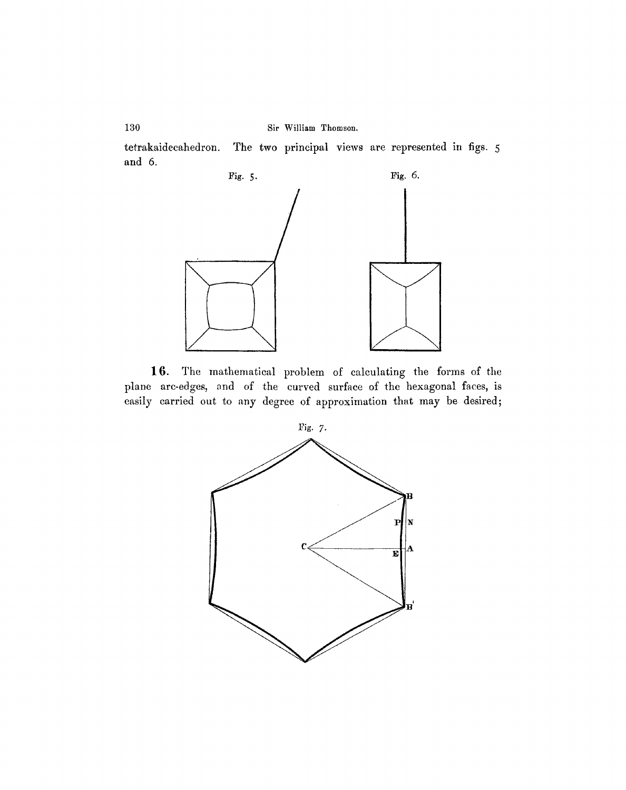tetrakaidecahedron. and 6. The two principal views are represented in figs. 5



16. The mathematical problem of calculating the forms of the plane arc-edges, and of the curved surface of the hexagonal faces, is easily carried out to any degree of approximation that may be desired;



130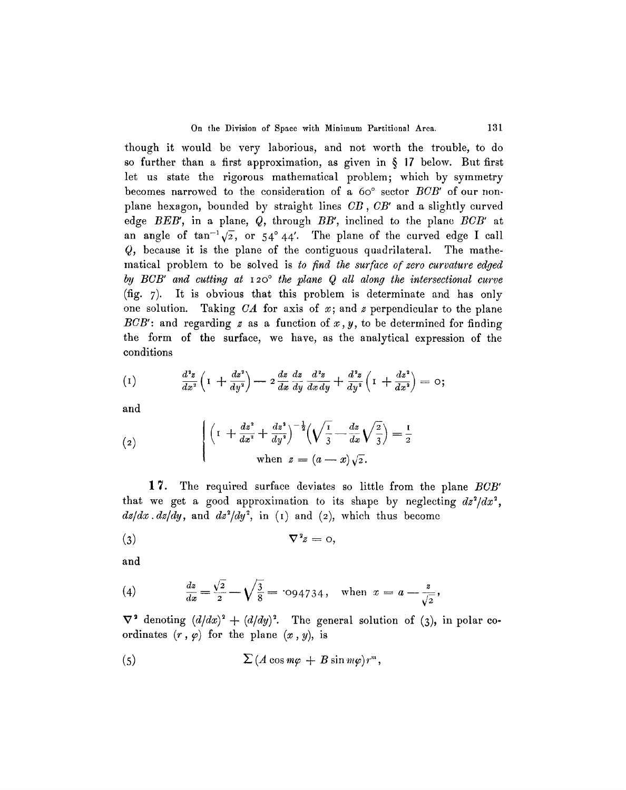though it would be very laborious, and not worth the trouble, to do so further than a first approximation, as given in  $\S$  17 below. But first let us state the rigorous mathematical problem; which by symmetry becomes narrowed to the consideration of a 60° sector *BCB'* of our nonplane hexagon, bounded by straight lines *CB, CB'* and a slightly curved edge *BEB',* in a plane, Q, through *BB',* inclined to the plane *BCB'* at an angle of  $\tan^{-1}\sqrt{2}$ , or 54° 44'. The plane of the curved edge I call *Q,* because it is the plane of the contiguous quadrilateral. The mathematical problem to be solved is *to find the surface of zero curvature edged by BCB' and cutting at 120° the plane Q all along the intersectional curve* (fig. 7). It is obvious that this problem is determinate and has only one solution. Taking  $CA$  for axis of  $x$ ; and  $z$  perpendicular to the plane  $BCB'$ : and regarding z as a function of  $x, y$ , to be determined for finding the form of the surface, we have, as the analytical expression of the conditions

$$
(1) \qquad \frac{d^2z}{dx^2}\left(1+\frac{dz^2}{dy^2}\right)-2\frac{dz}{dx}\frac{dz}{dy}\frac{d^2z}{dx\,dy}+\frac{d^2z}{dy^2}\left(1+\frac{dz^2}{dx^2}\right)=0;
$$

and

(2) 
$$
\begin{cases} \left(1 + \frac{dz^2}{dx^2} + \frac{dz^2}{dy^2}\right)^{-\frac{1}{2}} \left(\sqrt{\frac{1}{3}} - \frac{dz}{dx}\sqrt{\frac{2}{3}}\right) = \frac{1}{2} \\ \text{when } z = (a - x)\sqrt{2}. \end{cases}
$$

1 7. The required surface deviates so little from the plane *BCB'*  that we get a good approximation to its shape by neglecting  $dz^2/dx^2$ ,  $dz/dx$ .  $dz/dy$ , and  $dz^2/dy^2$ , in (1) and (2), which thus become

$$
\nabla^2 z = 0,
$$

and

(4) 
$$
\frac{dz}{dx} = \frac{\sqrt{2}}{2} - \sqrt{\frac{3}{8}} = 0.094734, \text{ when } x = a - \frac{z}{\sqrt{2}},
$$

 $\nabla^2$  denoting  $(d/dx)^2 + (d/dy)^2$ . The general solution of (3), in polar coordinates  $(r, \varphi)$  for the plane  $(x, y)$ , is

(5) 
$$
\sum (A \cos m\varphi + B \sin m\varphi) r^m,
$$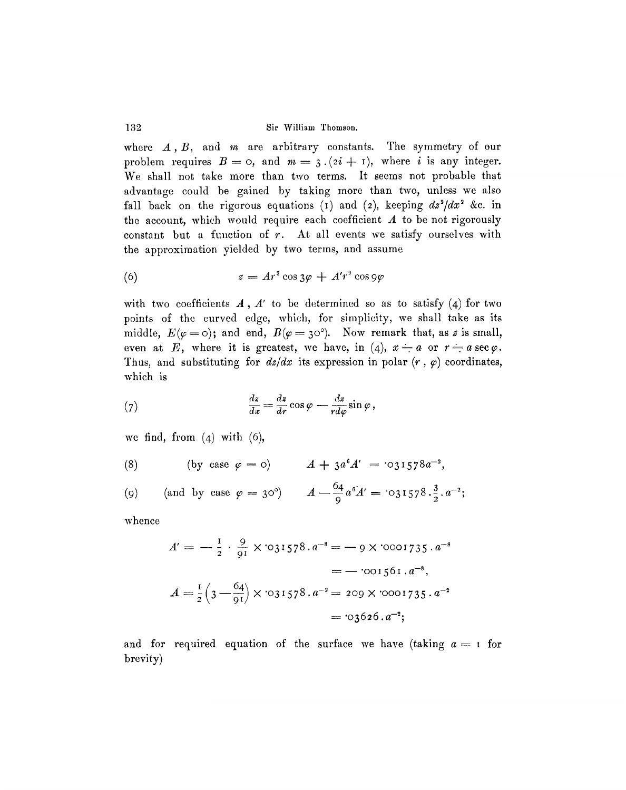where  $A$ ,  $B$ , and  $m$  are arbitrary constants. The symmetry of our problem requires  $B=0$ , and  $m=3.(2i + 1)$ , where i is any integer. We shall not take more than two terms. It seems not probable that advantage could be gained by taking more than two, unless we also fall back on the rigorous equations (1) and (2), keeping  $dz^2/dx^2$  &c. in the account, which would require each coefficient  $A$  to be not rigorously constant but a function of *r.* At all events we satisfy ourselves with the approximation yielded by two terms, and assume

(6) 
$$
z = Ar^3 \cos 3\varphi + A'r^3 \cos 9\varphi
$$

with two coefficients  $A, A'$  to be determined so as to satisfy (4) for two points of the curved edge, which, for simplicity, we shall take as its middle,  $E(\varphi=0)$ ; and end,  $B(\varphi=30^{\circ})$ . Now remark that, as z is small, even at E, where it is greatest, we have, in (4),  $x = a$  or  $r = a \sec \varphi$ . Thus, and substituting for  $dz/dx$  its expression in polar  $(r, \varphi)$  coordinates, which is

(7) 
$$
\frac{dz}{dx} = \frac{dz}{dr}\cos\varphi - \frac{dz}{rd\varphi}\sin\varphi,
$$

we find, from  $(4)$  with  $(6)$ ,

(8) (by case 
$$
\varphi = 0
$$
)  $A + 3a^6 A' = 031578a^{-2}$ ,

$$
(9) \qquad \text{(and by case } \varphi = 30^{\circ}\text{)} \qquad A - \frac{64}{9}a^{6}A' = \text{`031578} \cdot \frac{3}{2} \cdot a^{-2};
$$

whence

$$
A' = -\frac{1}{2} \cdot \frac{9}{91} \times 0.31578 \cdot a^{-8} = -9 \times 0.001735 \cdot a^{-8}
$$
  
= -0.01561. a<sup>-8</sup>,  

$$
A = \frac{1}{2} \left( 3 - \frac{64}{91} \right) \times 0.31578 \cdot a^{-2} = 209 \times 0.001735 \cdot a^{-2}
$$
  
= 0.3626. a<sup>-2</sup>;

and for required equation of the surface we have (taking  $a = 1$  for brevity)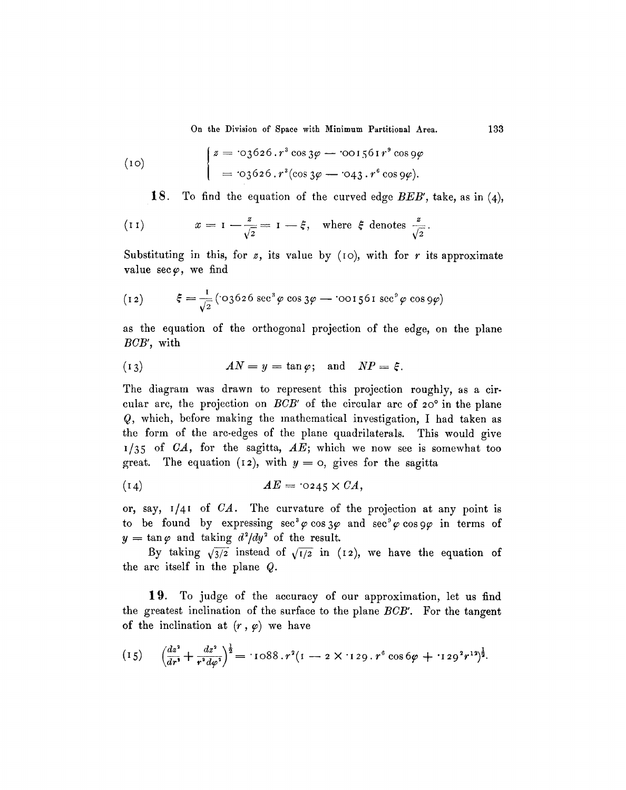On the Division of Space with Minimum Partitional Area. 133

(10) 
$$
\begin{cases} z = \text{03626.r}^3 \cos 3\varphi - \text{001561}r^9 \cos 9\varphi \\ = \text{03626.r}^3 (\cos 3\varphi - \text{043.r}^6 \cos 9\varphi). \end{cases}
$$

1S. To find the equation of the curved edge *BEB',* take, as in (4),

(11) 
$$
x = 1 - \frac{z}{\sqrt{2}} = 1 - \xi
$$
, where  $\xi$  denotes  $\frac{z}{\sqrt{2}}$ 

Substituting in this, for  $z$ , its value by (10), with for  $r$  its approximate value  $\sec \varphi$ , we find

(12) 
$$
\xi = \frac{1}{\sqrt{2}} (\cos 626 \sec^3 \varphi \cos 3\varphi - \cos 1561 \sec^9 \varphi \cos 9\varphi)
$$

as the equation of the orthogonal projection of the edge, on the plane *BCB',* with

(13) 
$$
AN = y = \tan \varphi; \text{ and } NP = \xi.
$$

The diagram was drawn to represent this projection roughly, as a circular arc, the projection on  $BCB'$  of the circular arc of  $20^\circ$  in the plane Q, which, before making the mathematical investigation, I had taken as the form of the arc-edges of the plane quadrilaterals. This would give 1/35 of *CA,* for the sagitta, *AE;* which we now see is somewhat too great. The equation (12), with  $y = 0$ , gives for the sagitta

$$
(14) \t\t\t AE = 0245 \times CA,
$$

or, say, I/4t of *CA.* The curvature of the projection at any point is to be found by expressing  $\sec^3\varphi \cos 3\varphi$  and  $\sec^9\varphi \cos 9\varphi$  in terms of  $y=\tan\varphi$  and taking  $d^2/dy^2$  of the result.

By taking  $\sqrt{3/2}$  instead of  $\sqrt{1/2}$  in (12), we have the equation of the arc itself in the plane Q.

19. To judge of the accuracy of our approximation, let us find the greatest inclination of the surface to the plane *BCB'.* For the tangent of the inclination at  $(r, \varphi)$  we have

$$
(15) \quad \left(\frac{dz^2}{dr^2} + \frac{dz^2}{r^2 d\varphi^2}\right)^{\frac{1}{2}} = 1088. r^2 (1 - 2 \times 129. r^6 \cos 6\varphi + 129^2 r^{12})^{\frac{1}{2}}.
$$